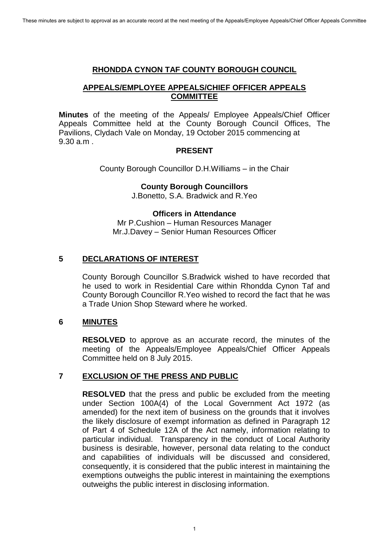#### **RHONDDA CYNON TAF COUNTY BOROUGH COUNCIL**

# **APPEALS/EMPLOYEE APPEALS/CHIEF OFFICER APPEALS COMMITTEE**

**Minutes** of the meeting of the Appeals/ Employee Appeals/Chief Officer Appeals Committee held at the County Borough Council Offices, The Pavilions, Clydach Vale on Monday, 19 October 2015 commencing at 9.30 a.m .

#### **PRESENT**

County Borough Councillor D.H.Williams – in the Chair

#### **County Borough Councillors**

J.Bonetto, S.A. Bradwick and R.Yeo

# **Officers in Attendance**

Mr P.Cushion – Human Resources Manager Mr.J.Davey – Senior Human Resources Officer

# **5 DECLARATIONS OF INTEREST**

County Borough Councillor S.Bradwick wished to have recorded that he used to work in Residential Care within Rhondda Cynon Taf and County Borough Councillor R.Yeo wished to record the fact that he was a Trade Union Shop Steward where he worked.

# **6 MINUTES**

**RESOLVED** to approve as an accurate record, the minutes of the meeting of the Appeals/Employee Appeals/Chief Officer Appeals Committee held on 8 July 2015.

# **7 EXCLUSION OF THE PRESS AND PUBLIC**

**RESOLVED** that the press and public be excluded from the meeting under Section 100A(4) of the Local Government Act 1972 (as amended) for the next item of business on the grounds that it involves the likely disclosure of exempt information as defined in Paragraph 12 of Part 4 of Schedule 12A of the Act namely, information relating to particular individual. Transparency in the conduct of Local Authority business is desirable, however, personal data relating to the conduct and capabilities of individuals will be discussed and considered, consequently, it is considered that the public interest in maintaining the exemptions outweighs the public interest in maintaining the exemptions outweighs the public interest in disclosing information.